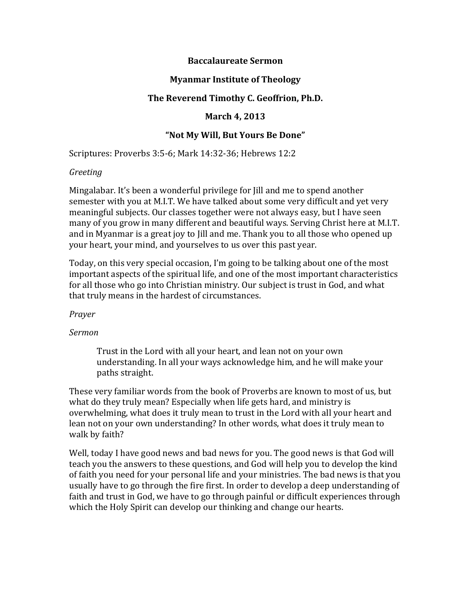### **Baccalaureate Sermon**

### **Myanmar Institute of Theology**

### The Reverend Timothy C. Geoffrion, Ph.D.

### **March 4, 2013**

### "Not My Will, But Yours Be Done"

Scriptures: Proverbs 3:5-6; Mark 14:32-36; Hebrews 12:2

#### *Greeting*

Mingalabar. It's been a wonderful privilege for Jill and me to spend another semester with you at M.I.T. We have talked about some very difficult and yet very meaningful subjects. Our classes together were not always easy, but I have seen many of you grow in many different and beautiful ways. Serving Christ here at M.I.T. and in Myanmar is a great joy to Jill and me. Thank you to all those who opened up your heart, your mind, and yourselves to us over this past year.

Today, on this very special occasion, I'm going to be talking about one of the most important aspects of the spiritual life, and one of the most important characteristics for all those who go into Christian ministry. Our subject is trust in God, and what that truly means in the hardest of circumstances.

#### *Prayer*

#### *Sermon*

Trust in the Lord with all your heart, and lean not on your own understanding. In all your ways acknowledge him, and he will make your paths straight.

These very familiar words from the book of Proverbs are known to most of us, but what do they truly mean? Especially when life gets hard, and ministry is overwhelming, what does it truly mean to trust in the Lord with all your heart and lean not on your own understanding? In other words, what does it truly mean to walk by faith?

Well, today I have good news and bad news for you. The good news is that God will teach you the answers to these questions, and God will help you to develop the kind of faith you need for your personal life and your ministries. The bad news is that you usually have to go through the fire first. In order to develop a deep understanding of faith and trust in God, we have to go through painful or difficult experiences through which the Holy Spirit can develop our thinking and change our hearts.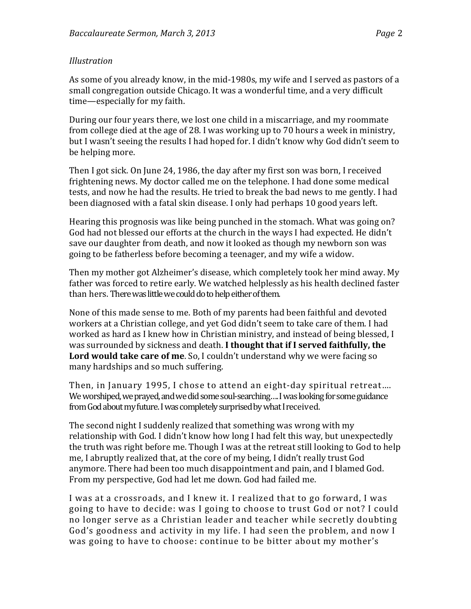## *Illustration*

As some of you already know, in the mid-1980s, my wife and I served as pastors of a small congregation outside Chicago. It was a wonderful time, and a very difficult time—especially for my faith.

During our four years there, we lost one child in a miscarriage, and my roommate from college died at the age of 28. I was working up to 70 hours a week in ministry, but I wasn't seeing the results I had hoped for. I didn't know why God didn't seem to be helping more.

Then I got sick. On June 24, 1986, the day after my first son was born, I received frightening news. My doctor called me on the telephone. I had done some medical tests, and now he had the results. He tried to break the bad news to me gently. I had been diagnosed with a fatal skin disease. I only had perhaps 10 good years left.

Hearing this prognosis was like being punched in the stomach. What was going on? God had not blessed our efforts at the church in the ways I had expected. He didn't save our daughter from death, and now it looked as though my newborn son was going to be fatherless before becoming a teenager, and my wife a widow.

Then my mother got Alzheimer's disease, which completely took her mind away. My father was forced to retire early. We watched helplessly as his health declined faster than hers. There was little we could do to help either of them.

None of this made sense to me. Both of my parents had been faithful and devoted workers at a Christian college, and yet God didn't seem to take care of them. I had worked as hard as I knew how in Christian ministry, and instead of being blessed, I was surrounded by sickness and death. I thought that if I served faithfully, the **Lord would take care of me**. So, I couldn't understand why we were facing so many hardships and so much suffering.

Then, in January 1995, I chose to attend an eight-day spiritual retreat.... We worshiped, we prayed, and we did some soul-searching…. I was looking for some guidance from God about my future. I was completely surprised by what I received.

The second night I suddenly realized that something was wrong with my relationship with God. I didn't know how long I had felt this way, but unexpectedly the truth was right before me. Though I was at the retreat still looking to God to help me, I abruptly realized that, at the core of my being, I didn't really trust God anymore. There had been too much disappointment and pain, and I blamed God. From my perspective, God had let me down. God had failed me.

I was at a crossroads, and I knew it. I realized that to go forward, I was going to have to decide: was I going to choose to trust God or not? I could no longer serve as a Christian leader and teacher while secretly doubting God's goodness and activity in my life. I had seen the problem, and now I was going to have to choose: continue to be bitter about my mother's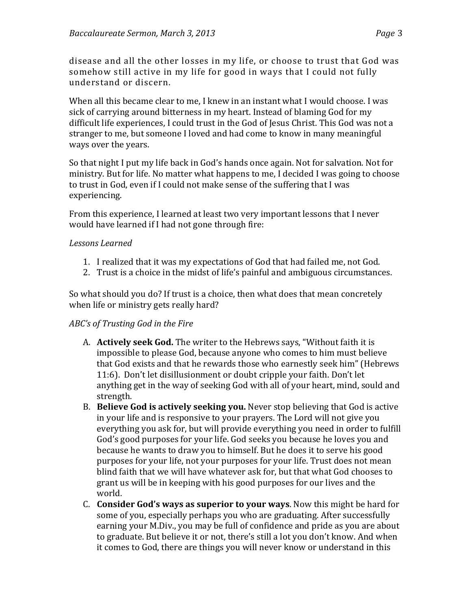disease and all the other losses in my life, or choose to trust that God was somehow still active in my life for good in ways that I could not fully understand or discern.

When all this became clear to me. I knew in an instant what I would choose. I was sick of carrying around bitterness in my heart. Instead of blaming God for my difficult life experiences, I could trust in the God of Jesus Christ. This God was not a stranger to me, but someone I loved and had come to know in many meaningful ways over the years.

So that night I put my life back in God's hands once again. Not for salvation. Not for ministry. But for life. No matter what happens to me, I decided I was going to choose to trust in God, even if I could not make sense of the suffering that I was experiencing.

From this experience, I learned at least two very important lessons that I never would have learned if I had not gone through fire:

## Lessons *Learned*

- 1. I realized that it was my expectations of God that had failed me, not God.
- 2. Trust is a choice in the midst of life's painful and ambiguous circumstances.

So what should you do? If trust is a choice, then what does that mean concretely when life or ministry gets really hard?

## *ABC's* of Trusting God in the Fire

- A. **Actively seek God.** The writer to the Hebrews says, "Without faith it is impossible to please God, because anyone who comes to him must believe that God exists and that he rewards those who earnestly seek him" (Hebrews 11:6). Don't let disillusionment or doubt cripple your faith. Don't let anything get in the way of seeking God with all of your heart, mind, sould and strength.
- B. **Believe God is actively seeking you.** Never stop believing that God is active in your life and is responsive to your prayers. The Lord will not give you everything you ask for, but will provide everything you need in order to fulfill God's good purposes for your life. God seeks you because he loves you and because he wants to draw you to himself. But he does it to serve his good purposes for your life, not your purposes for your life. Trust does not mean blind faith that we will have whatever ask for, but that what God chooses to grant us will be in keeping with his good purposes for our lives and the world.
- C. **Consider God's ways as superior to your ways**. Now this might be hard for some of you, especially perhaps you who are graduating. After successfully earning your M.Div., you may be full of confidence and pride as you are about to graduate. But believe it or not, there's still a lot you don't know. And when it comes to God, there are things you will never know or understand in this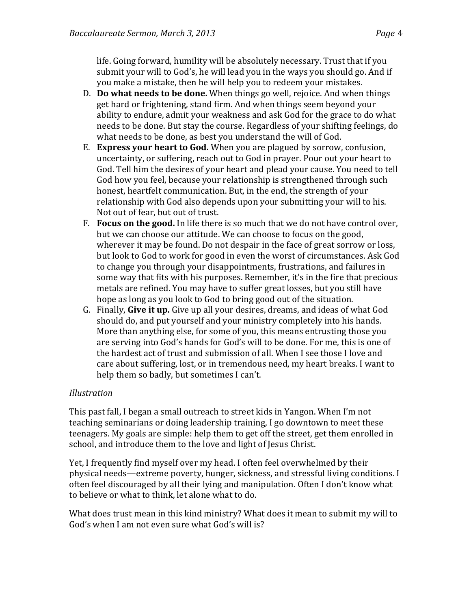life. Going forward, humility will be absolutely necessary. Trust that if you submit your will to God's, he will lead you in the ways you should go. And if you make a mistake, then he will help you to redeem your mistakes.

- D. **Do what needs to be done.** When things go well, rejoice. And when things get hard or frightening, stand firm. And when things seem beyond your ability to endure, admit your weakness and ask God for the grace to do what needs to be done. But stay the course. Regardless of your shifting feelings, do what needs to be done, as best you understand the will of God.
- **E. Express your heart to God.** When you are plagued by sorrow, confusion, uncertainty, or suffering, reach out to God in prayer. Pour out your heart to God. Tell him the desires of your heart and plead your cause. You need to tell God how you feel, because your relationship is strengthened through such honest, heartfelt communication. But, in the end, the strength of your relationship with God also depends upon your submitting your will to his. Not out of fear, but out of trust.
- F. **Focus on the good.** In life there is so much that we do not have control over, but we can choose our attitude. We can choose to focus on the good, wherever it may be found. Do not despair in the face of great sorrow or loss, but look to God to work for good in even the worst of circumstances. Ask God to change you through your disappointments, frustrations, and failures in some way that fits with his purposes. Remember, it's in the fire that precious metals are refined. You may have to suffer great losses, but you still have hope as long as you look to God to bring good out of the situation.
- G. Finally, **Give it up.** Give up all your desires, dreams, and ideas of what God should do, and put yourself and your ministry completely into his hands. More than anything else, for some of you, this means entrusting those you are serving into God's hands for God's will to be done. For me, this is one of the hardest act of trust and submission of all. When I see those I love and care about suffering, lost, or in tremendous need, my heart breaks. I want to help them so badly, but sometimes I can't.

# *Illustration*

This past fall, I began a small outreach to street kids in Yangon. When I'm not teaching seminarians or doing leadership training, I go downtown to meet these teenagers. My goals are simple: help them to get off the street, get them enrolled in school, and introduce them to the love and light of Jesus Christ.

Yet, I frequently find myself over my head. I often feel overwhelmed by their physical needs—extreme poverty, hunger, sickness, and stressful living conditions. I often feel discouraged by all their lying and manipulation. Often I don't know what to believe or what to think, let alone what to do.

What does trust mean in this kind ministry? What does it mean to submit my will to God's when I am not even sure what God's will is?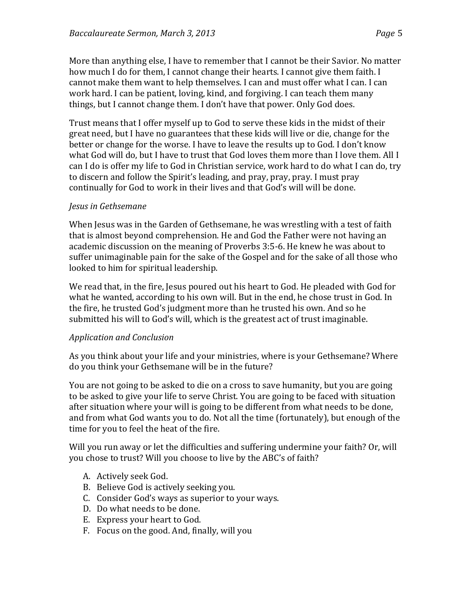More than anything else, I have to remember that I cannot be their Savior. No matter how much I do for them, I cannot change their hearts. I cannot give them faith. I cannot make them want to help themselves. I can and must offer what I can. I can work hard. I can be patient, loving, kind, and forgiving. I can teach them many things, but I cannot change them. I don't have that power. Only God does.

Trust means that I offer myself up to God to serve these kids in the midst of their great need, but I have no guarantees that these kids will live or die, change for the better or change for the worse. I have to leave the results up to God. I don't know what God will do, but I have to trust that God loves them more than I love them. All I can I do is offer my life to God in Christian service, work hard to do what I can do, try to discern and follow the Spirit's leading, and pray, pray, pray. I must pray continually for God to work in their lives and that God's will will be done.

## *Jesus in Gethsemane*

When Jesus was in the Garden of Gethsemane, he was wrestling with a test of faith that is almost beyond comprehension. He and God the Father were not having an academic discussion on the meaning of Proverbs 3:5-6. He knew he was about to suffer unimaginable pain for the sake of the Gospel and for the sake of all those who looked to him for spiritual leadership.

We read that, in the fire, Jesus poured out his heart to God. He pleaded with God for what he wanted, according to his own will. But in the end, he chose trust in God. In the fire, he trusted God's judgment more than he trusted his own. And so he submitted his will to God's will, which is the greatest act of trust imaginable.

## *Application(and(Conclusion*

As you think about your life and your ministries, where is your Gethsemane? Where do you think your Gethsemane will be in the future?

You are not going to be asked to die on a cross to save humanity, but you are going to be asked to give your life to serve Christ. You are going to be faced with situation after situation where your will is going to be different from what needs to be done, and from what God wants you to do. Not all the time (fortunately), but enough of the time for you to feel the heat of the fire.

Will you run away or let the difficulties and suffering undermine your faith? Or, will you chose to trust? Will you choose to live by the ABC's of faith?

- A. Actively seek God.
- B. Believe God is actively seeking you.
- C. Consider God's ways as superior to your ways.
- D. Do what needs to be done.
- E. Express your heart to God.
- F. Focus on the good. And, finally, will you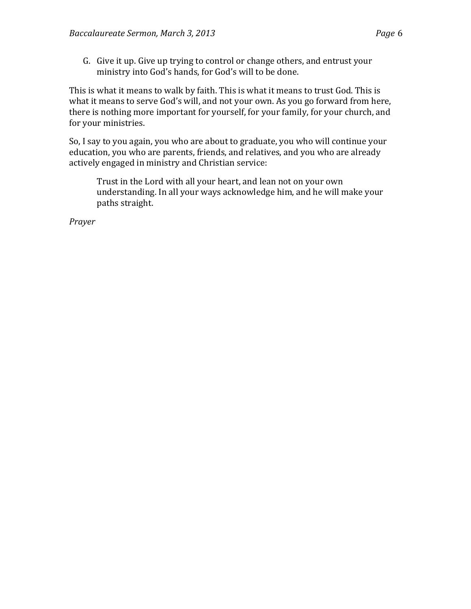G. Give it up. Give up trying to control or change others, and entrust your ministry into God's hands, for God's will to be done.

This is what it means to walk by faith. This is what it means to trust God. This is what it means to serve God's will, and not your own. As you go forward from here, there is nothing more important for yourself, for your family, for your church, and for your ministries.

So, I say to you again, you who are about to graduate, you who will continue your education, you who are parents, friends, and relatives, and you who are already actively engaged in ministry and Christian service:

Trust in the Lord with all your heart, and lean not on your own understanding. In all your ways acknowledge him, and he will make your paths straight.

*Prayer*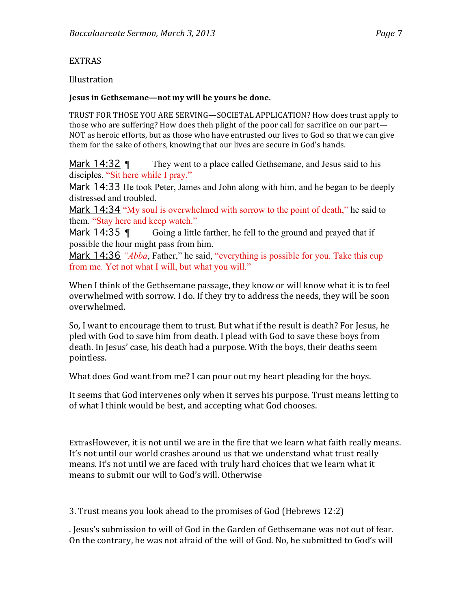## Illustration

### Jesus in Gethsemane—not my will be yours be done.

TRUST FOR THOSE YOU ARE SERVING—SOCIETAL APPLICATION? How does trust apply to those who are suffering? How does theh plight of the poor call for sacrifice on our part— NOT as heroic efforts, but as those who have entrusted our lives to God so that we can give them for the sake of others, knowing that our lives are secure in God's hands.

Mark 14:32 ¶ They went to a place called Gethsemane, and Jesus said to his disciples, "Sit here while I pray."

Mark 14:33 He took Peter, James and John along with him, and he began to be deeply distressed and troubled.

Mark 14:34 "My soul is overwhelmed with sorrow to the point of death," he said to them. "Stay here and keep watch."

Mark 14:35  $\degree$  Going a little farther, he fell to the ground and prayed that if possible the hour might pass from him.

Mark 14:36 *"Abba*, Father," he said, "everything is possible for you. Take this cup from me. Yet not what I will, but what you will."

When I think of the Gethsemane passage, they know or will know what it is to feel overwhelmed with sorrow. I do. If they try to address the needs, they will be soon overwhelmed.

So, I want to encourage them to trust. But what if the result is death? For Jesus, he pled with God to save him from death. I plead with God to save these boys from death. In Jesus' case, his death had a purpose. With the boys, their deaths seem pointless.+

What does God want from me? I can pour out my heart pleading for the boys.

It seems that God intervenes only when it serves his purpose. Trust means letting to of what I think would be best, and accepting what God chooses.

ExtrasHowever, it is not until we are in the fire that we learn what faith really means. It's not until our world crashes around us that we understand what trust really means. It's not until we are faced with truly hard choices that we learn what it means to submit our will to God's will. Otherwise

3. Trust means you look ahead to the promises of God (Hebrews 12:2)

. Jesus's submission to will of God in the Garden of Gethsemane was not out of fear. On the contrary, he was not afraid of the will of God. No, he submitted to God's will